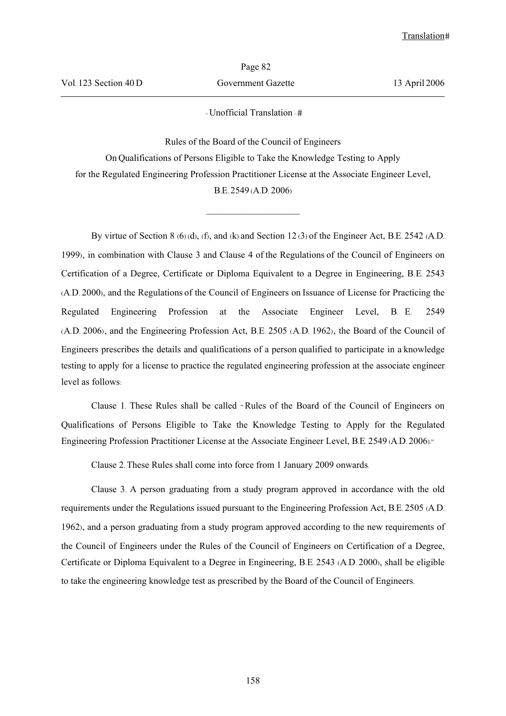- Unofficial Translation –

Rules of the Board of the Council of Engineers On Qualifications of Persons Eligible to Take the Knowledge Testing to Apply for the Regulated Engineering Profession Practitioner License at the Associate Engineer Level, B.E. 2549 (A.D. 2006)

 $\overline{\phantom{a}}$  , where  $\overline{\phantom{a}}$ 

By virtue of Section 8 (6) (d), (f), and (k) and Section 12 (3) of the Engineer Act, B.E. 2542 (A.D. 1999), in combination with Clause 3 and Clause 4 of the Regulations of the Council of Engineers on Certification of a Degree, Certificate or Diploma Equivalent to a Degree in Engineering, B.E. 2543 (A.D. 2000), and the Regulations of the Council of Engineers on Issuance of License for Practicing the Regulated Engineering Profession at the Associate Engineer Level, B. E. 2549 (A.D. 2006), and the Engineering Profession Act, B.E. 2505 (A.D. 1962), the Board of the Council of Engineers prescribes the details and qualifications of a person qualified to participate in a knowledge testing to apply for a license to practice the regulated engineering profession at the associate engineer level as follows:

Clause 1. These Rules shall be called " Rules of the Board of the Council of Engineers on Qualifications of Persons Eligible to Take the Knowledge Testing to Apply for the Regulated Engineering Profession Practitioner License at the Associate Engineer Level, B.E. 2549 (A.D. 2006)."

Clause 2. These Rules shall come into force from 1 January 2009 onwards.

Clause 3. A person graduating from a study program approved in accordance with the old requirements under the Regulations issued pursuant to the Engineering Profession Act, B.E. 2505 (A.D. 1962), and a person graduating from a study program approved according to the new requirements of the Council of Engineers under the Rules of the Council of Engineers on Certification of a Degree, Certificate or Diploma Equivalent to a Degree in Engineering, B.E. 2543 (A.D. 2000), shall be eligible to take the engineering knowledge test as prescribed by the Board of the Council of Engineers.